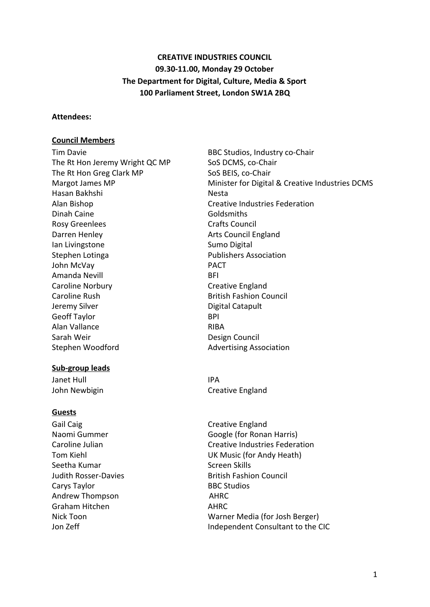# **CREATIVE INDUSTRIES COUNCIL 09.30-11.00, Monday 29 October The Department for Digital, Culture, Media & Sport 100 Parliament Street, London SW1A 2BQ**

#### **Attendees:**

#### **Council Members**

The Rt Hon Jeremy Wright QC MP SoS DCMS, co-Chair The Rt Hon Greg Clark MP SoS BEIS, co-Chair Hasan Bakhshi Nesta Alan Bishop Creative Industries Federation Dinah Caine Goldsmiths Rosy Greenlees **Crafts** Council Darren Henley **Arts Council England** Ian Livingstone **Sumo Digital** Stephen Lotinga **Publishers** Association John McVay **PACT** Amanda Nevill **BFI** Caroline Norbury **Caroline Creative England** Caroline Rush **British Fashion Council** British Fashion Council Jeremy Silver **Digital Catapult** Geoff Taylor BPI Alan Vallance RIBA Sarah Weir **Design Council** 

#### **Sub-group leads**

Janet Hull **IPA** 

#### **Guests**

Gail Caig Creative England Seetha Kumar National Screen Skills Carys Taylor **BBC Studios** Andrew Thompson AHRC Graham Hitchen **AHRC** 

Tim Davie **BBC Studios**, Industry co-Chair Margot James MP Minister for Digital & Creative Industries DCMS Stephen Woodford **Advertising Association** 

John Newbigin **Creative England** 

Naomi Gummer Google (for Ronan Harris) Caroline Julian Caroline Julian Creative Industries Federation Tom Kiehl UK Music (for Andy Heath) Judith Rosser-Davies **British Fashion Council** Nick Toon Warner Media (for Josh Berger) Jon Zeff **Independent Consultant to the CIC**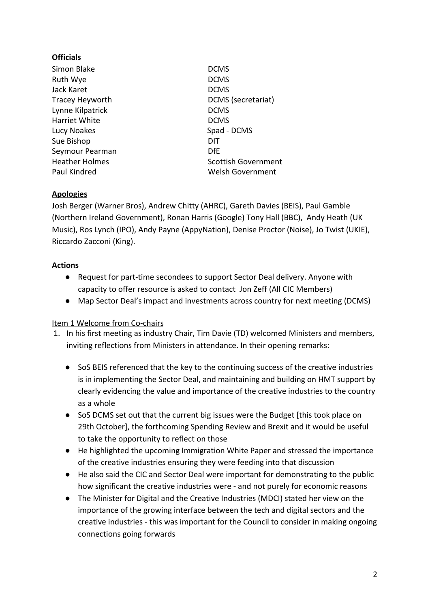## **Officials**

Simon Blake DCMS Ruth Wye DCMS Jack Karet **DCMS** Lynne Kilpatrick DCMS Harriet White DCMS Lucy Noakes Spad - DCMS Sue Bishop DIT Seymour Pearman DfE

Tracey Heyworth DCMS (secretariat) Heather Holmes **Scottish Government** Paul Kindred Welsh Government

## **Apologies**

Josh Berger (Warner Bros), Andrew Chitty (AHRC), Gareth Davies (BEIS), Paul Gamble (Northern Ireland Government), Ronan Harris (Google) Tony Hall (BBC), Andy Heath (UK Music), Ros Lynch (IPO), Andy Payne (AppyNation), Denise Proctor (Noise), Jo Twist (UKIE), Riccardo Zacconi (King).

## **Actions**

- Request for part-time secondees to support Sector Deal delivery. Anyone with capacity to offer resource is asked to contact Jon Zeff (All CIC Members)
- Map Sector Deal's impact and investments across country for next meeting (DCMS)

### Item 1 Welcome from Co-chairs

- 1. In his first meeting as industry Chair, Tim Davie (TD) welcomed Ministers and members, inviting reflections from Ministers in attendance. In their opening remarks:
	- SoS BEIS referenced that the key to the continuing success of the creative industries is in implementing the Sector Deal, and maintaining and building on HMT support by clearly evidencing the value and importance of the creative industries to the country as a whole
	- SoS DCMS set out that the current big issues were the Budget [this took place on 29th October], the forthcoming Spending Review and Brexit and it would be useful to take the opportunity to reflect on those
	- He highlighted the upcoming Immigration White Paper and stressed the importance of the creative industries ensuring they were feeding into that discussion
	- He also said the CIC and Sector Deal were important for demonstrating to the public how significant the creative industries were - and not purely for economic reasons
	- The Minister for Digital and the Creative Industries (MDCI) stated her view on the importance of the growing interface between the tech and digital sectors and the creative industries - this was important for the Council to consider in making ongoing connections going forwards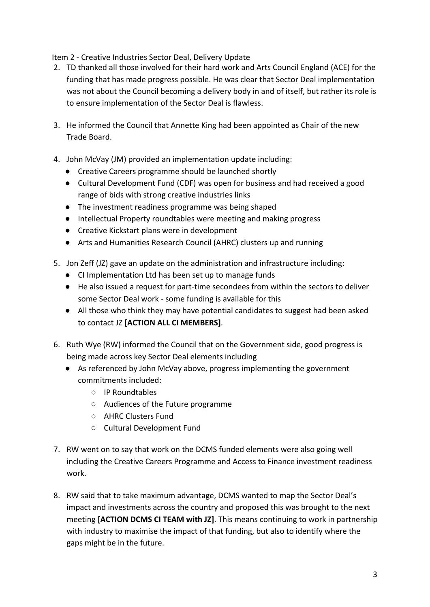## Item 2 - Creative Industries Sector Deal, Delivery Update

- 2. TD thanked all those involved for their hard work and Arts Council England (ACE) for the funding that has made progress possible. He was clear that Sector Deal implementation was not about the Council becoming a delivery body in and of itself, but rather its role is to ensure implementation of the Sector Deal is flawless.
- 3. He informed the Council that Annette King had been appointed as Chair of the new Trade Board.
- 4. John McVay (JM) provided an implementation update including:
	- Creative Careers programme should be launched shortly
	- Cultural Development Fund (CDF) was open for business and had received a good range of bids with strong creative industries links
	- The investment readiness programme was being shaped
	- Intellectual Property roundtables were meeting and making progress
	- Creative Kickstart plans were in development
	- Arts and Humanities Research Council (AHRC) clusters up and running
- 5. Jon Zeff (JZ) gave an update on the administration and infrastructure including:
	- CI Implementation Ltd has been set up to manage funds
	- He also issued a request for part-time secondees from within the sectors to deliver some Sector Deal work - some funding is available for this
	- All those who think they may have potential candidates to suggest had been asked to contact JZ **[ACTION ALL CI MEMBERS]**.
- 6. Ruth Wye (RW) informed the Council that on the Government side, good progress is being made across key Sector Deal elements including
	- As referenced by John McVay above, progress implementing the government commitments included:
		- IP Roundtables
		- Audiences of the Future programme
		- AHRC Clusters Fund
		- Cultural Development Fund
- 7. RW went on to say that work on the DCMS funded elements were also going well including the Creative Careers Programme and Access to Finance investment readiness work.
- 8. RW said that to take maximum advantage, DCMS wanted to map the Sector Deal's impact and investments across the country and proposed this was brought to the next meeting **[ACTION DCMS CI TEAM with JZ]**. This means continuing to work in partnership with industry to maximise the impact of that funding, but also to identify where the gaps might be in the future.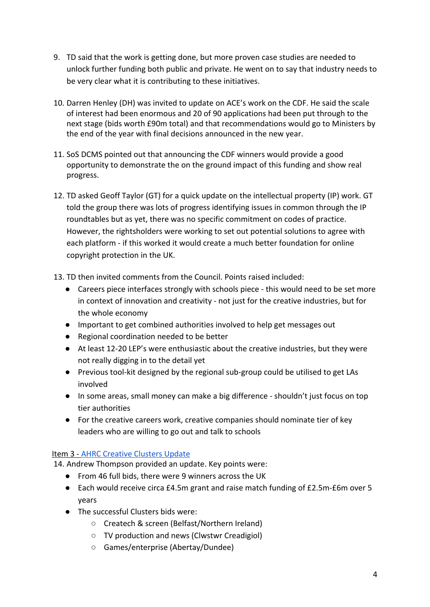- 9. TD said that the work is getting done, but more proven case studies are needed to unlock further funding both public and private. He went on to say that industry needs to be very clear what it is contributing to these initiatives.
- 10. Darren Henley (DH) was invited to update on ACE's work on the CDF. He said the scale of interest had been enormous and 20 of 90 applications had been put through to the next stage (bids worth £90m total) and that recommendations would go to Ministers by the end of the year with final decisions announced in the new year.
- 11. SoS DCMS pointed out that announcing the CDF winners would provide a good opportunity to demonstrate the on the ground impact of this funding and show real progress.
- 12. TD asked Geoff Taylor (GT) for a quick update on the intellectual property (IP) work. GT told the group there was lots of progress identifying issues in common through the IP roundtables but as yet, there was no specific commitment on codes of practice. However, the rightsholders were working to set out potential solutions to agree with each platform - if this worked it would create a much better foundation for online copyright protection in the UK.
- 13. TD then invited comments from the Council. Points raised included:
	- Careers piece interfaces strongly with schools piece this would need to be set more in context of innovation and creativity - not just for the creative industries, but for the whole economy
	- Important to get combined authorities involved to help get messages out
	- Regional coordination needed to be better
	- At least 12-20 LEP's were enthusiastic about the creative industries, but they were not really digging in to the detail yet
	- Previous tool-kit designed by the regional sub-group could be utilised to get LAs involved
	- In some areas, small money can make a big difference shouldn't just focus on top tier authorities
	- For the creative careers work, creative companies should nominate tier of key leaders who are willing to go out and talk to schools

### Item 3 - [AHRC Creative Clusters Update](https://ahrc.ukri.org/newsevents/news/r-d-investment-set-to-provide-step-up-for-creative-industries/)

14. Andrew Thompson provided an update. Key points were:

- From 46 full bids, there were 9 winners across the UK
- Each would receive circa £4.5m grant and raise match funding of £2.5m-£6m over 5 years
- The successful Clusters bids were:
	- Createch & screen (Belfast/Northern Ireland)
	- TV production and news (Clwstwr Creadigiol)
	- Games/enterprise (Abertay/Dundee)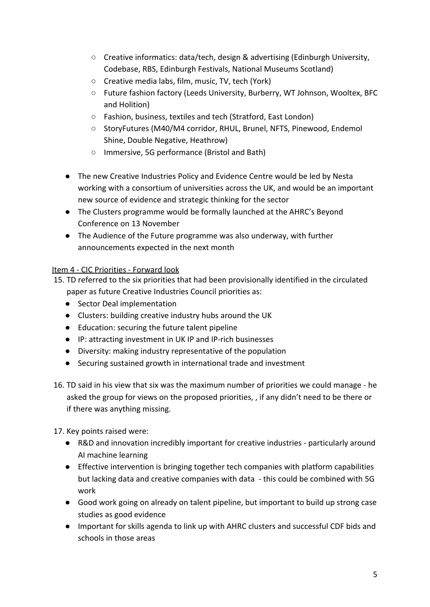- Creative informatics: data/tech, design & advertising (Edinburgh University, Codebase, RBS, Edinburgh Festivals, National Museums Scotland)
- Creative media labs, film, music, TV, tech (York)
- Future fashion factory (Leeds University, Burberry, WT Johnson, Wooltex, BFC and Holition)
- Fashion, business, textiles and tech (Stratford, East London)
- StoryFutures (M40/M4 corridor, RHUL, Brunel, NFTS, Pinewood, Endemol Shine, Double Negative, Heathrow)
- Immersive, 5G performance (Bristol and Bath)
- The new Creative Industries Policy and Evidence Centre would be led by Nesta working with a consortium of universities across the UK, and would be an important new source of evidence and strategic thinking for the sector
- The Clusters programme would be formally launched at the AHRC's Beyond Conference on 13 November
- The Audience of the Future programme was also underway, with further announcements expected in the next month

# Item 4 - CIC Priorities - Forward look

- 15. TD referred to the six priorities that had been provisionally identified in the circulated paper as future Creative Industries Council priorities as:
	- Sector Deal implementation
	- Clusters: building creative industry hubs around the UK
	- Education: securing the future talent pipeline
	- IP: attracting investment in UK IP and IP-rich businesses
	- Diversity: making industry representative of the population
	- Securing sustained growth in international trade and investment
- 16. TD said in his view that six was the maximum number of priorities we could manage he asked the group for views on the proposed priorities, , if any didn't need to be there or if there was anything missing.

## 17. Key points raised were:

- R&D and innovation incredibly important for creative industries particularly around AI machine learning
- Effective intervention is bringing together tech companies with platform capabilities but lacking data and creative companies with data - this could be combined with 5G work
- Good work going on already on talent pipeline, but important to build up strong case studies as good evidence
- Important for skills agenda to link up with AHRC clusters and successful CDF bids and schools in those areas